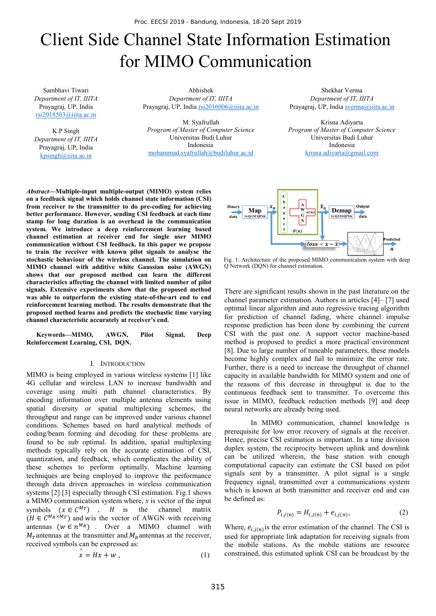# Client Side Channel State Information Estimation for MIMO Communication

Sambhavi Tiwari *Department of IT, IIITA* Prayagraj, UP, India rsi2018503@iiita.ac.in

K.P Singh *Department of IT, IIITA* Prayagraj, UP, India kpsingh@iiita.ac.in

Abhishek *Department of IT, IIITA* Prayagraj, UP, India rsi2016006@iiita.ac.in

 M. Syafrullah *Program of Master of Computer Science*  Universitas Budi Luhur Indonesia mohammad.syafrullah@budiluhur.ac.id

Shekhar Verma *Department of IT, IIITA* Prayagraj, UP, India sverma@iiita.ac.in

Krisna Adiyarta *Program of Master of Computer Science*  Universitas Budi Luhur Indonesia krisna.adiyarta@gmail.com

*Abstract***—Multiple-input multiple-output (MIMO) system relies on a feedback signal which holds channel state information (CSI) from receiver to the transmitter to do pre-coding for achieving better performance. However, sending CSI feedback at each time stamp for long duration is an overhead in the communication system. We introduce a deep reinforcement learning based channel estimation at receiver end for single user MIMO communication without CSI feedback. In this paper we propose to train the receiver with known pilot signals to analyse the stochastic behaviour of the wireless channel. The simulation on MIMO channel with additive white Gaussian noise (AWGN) shows that our proposed method can learn the different characteristics affecting the channel with limited number of pilot signals. Extensive experiments show that the proposed method was able to outperform the existing state-of-the-art end to end reinforcement learning method. The results demonstrate that the proposed method learns and predicts the stochastic time varying channel characteristic accurately at receiver's end.** 

**Keywords—MIMO, AWGN, Pilot Signal, Deep Reinforcement Learning, CSI, DQN.** 

## I. INTRODUCTION

MIMO is being employed in various wireless systems [1] like 4G cellular and wireless LAN to increase bandwidth and coverage using multi path channel characteristics. By encoding information over multiple antenna elements using spatial diversity or spatial multiplexing schemes, the throughput and range can be improved under various channel conditions. Schemes based on hard analytical methods of coding/beam forming and decoding for these problems are found to be sub optimal. In addition, spatial multiplexing methods typically rely on the accurate estimation of CSI, quantization, and feedback, which complicates the ability of these schemes to perform optimally. Machine learning techniques are being employed to improve the performance through data driven approaches in wireless communication systems [2] [3] especially through CSI estimation. Fig.1 shows a MIMO communication system where, *x* is vector of the input symbols  $(x \in C^{M_T})$ , *H* is the channel matrix  $(H \in C^{M_R \times M_T})$  and wis the vector of AWGN with receiving antennas ( $w \in n^{M_R}$ ) . Over a MIMO channel with  $M_T$ antennas at the transmitter and  $M_R$ antennas at the receiver, received symbols can be expressed as:

$$
\hat{x} = Hx + w , \qquad (1)
$$



Fig. 1: Architecture of the proposed MIMO communication system with deep Q Network (DQN) for channel estimation.

There are significant results shown in the past literature on the channel parameter estimation. Authors in articles [4]– [7] used optimal linear algorithm and auto regressive tracing algorithm for prediction of channel fading, where channel impulse response prediction has been done by combining the current CSI with the past one. A support vector machine-based method is proposed to predict a more practical environment [8]. Due to large number of tuneable parameters, these models become highly complex and fail to minimize the error rate. Further, there is a need to increase the throughput of channel capacity in available bandwidth for MIMO system and one of the reasons of this decrease in throughput is due to the continuous feedback sent to transmitter. To overcome this issue in MIMO, feedback reduction methods [9] and deep neural networks are already being used.

In MIMO communication, channel knowledge is prerequisite for low error recovery of signals at the receiver. Hence, precise CSI estimation is important. In a time division duplex system, the reciprocity between uplink and downlink can be utilized wherein, the base station with enough computational capacity can estimate the CSI based on pilot signals sent by a transmitter. A pilot signal is a single frequency signal, transmitted over a communications system which is known at both transmitter and receiver end and can be defined as:

$$
P_{i,j(n)} = H_{i,j(n)} + e_{i,j(n)},
$$
\n(2)

Where,  $e_{i,i(n)}$  is the error estimation of the channel. The CSI is used for appropriate link adaptation for receiving signals from the mobile stations. As the mobile stations are resource constrained, this estimated uplink CSI can be broadcast by the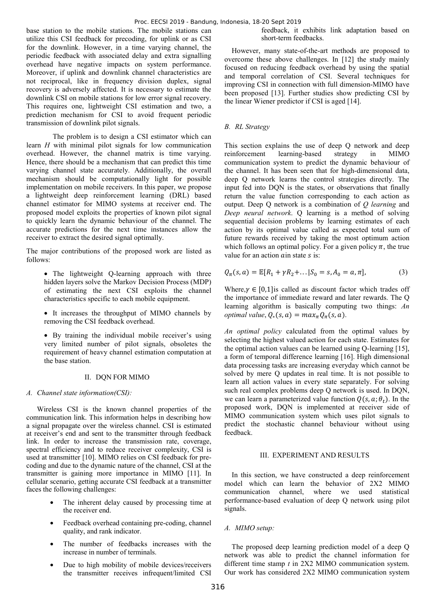base station to the mobile stations. The mobile stations can utilize this CSI feedback for precoding, for uplink or as CSI for the downlink. However, in a time varying channel, the periodic feedback with associated delay and extra signalling overhead have negative impacts on system performance. Moreover, if uplink and downlink channel characteristics are not reciprocal, like in frequency division duplex, signal recovery is adversely affected. It is necessary to estimate the downlink CSI on mobile stations for low error signal recovery. This requires one, lightweight CSI estimation and two, a prediction mechanism for CSI to avoid frequent periodic transmission of downlink pilot signals.

The problem is to design a CSI estimator which can learn *H* with minimal pilot signals for low communication overhead. However, the channel matrix is time varying. Hence, there should be a mechanism that can predict this time varying channel state accurately. Additionally, the overall mechanism should be computationally light for possible implementation on mobile receivers. In this paper, we propose a lightweight deep reinforcement learning (DRL) based channel estimator for MIMO systems at receiver end. The proposed model exploits the properties of known pilot signal to quickly learn the dynamic behaviour of the channel. The accurate predictions for the next time instances allow the receiver to extract the desired signal optimally.

The major contributions of the proposed work are listed as follows:

- The lightweight Q-learning approach with three hidden layers solve the Markov Decision Process (MDP) of estimating the next CSI exploits the channel characteristics specific to each mobile equipment.
- It increases the throughput of MIMO channels by removing the CSI feedback overhead.

• By training the individual mobile receiver's using very limited number of pilot signals, obsoletes the requirement of heavy channel estimation computation at the base station.

#### II. DQN FOR MIMO

#### *A. Channel state information(CSI):*

Wireless CSI is the known channel properties of the communication link. This information helps in describing how a signal propagate over the wireless channel. CSI is estimated at receiver's end and sent to the transmitter through feedback link. In order to increase the transmission rate, coverage, spectral efficiency and to reduce receiver complexity, CSI is used at transmitter [10]. MIMO relies on CSI feedback for precoding and due to the dynamic nature of the channel, CSI at the transmitter is gaining more importance in MIMO [11]. In cellular scenario, getting accurate CSI feedback at a transmitter faces the following challenges:

- The inherent delay caused by processing time at the receiver end.
- Feedback overhead containing pre-coding, channel quality, and rank indicator.
- The number of feedbacks increases with the increase in number of terminals.
- Due to high mobility of mobile devices/receivers the transmitter receives infrequent/limited CSI

feedback, it exhibits link adaptation based on short-term feedbacks.

However, many state-of-the-art methods are proposed to overcome these above challenges. In [12] the study mainly focused on reducing feedback overhead by using the spatial and temporal correlation of CSI. Several techniques for improving CSI in connection with full dimension-MIMO have been proposed [13]. Further studies show predicting CSI by the linear Wiener predictor if CSI is aged [14].

## *B. RL Strategy*

This section explains the use of deep Q network and deep reinforcement learning-based strategy in MIMO communication system to predict the dynamic behaviour of the channel. It has been seen that for high-dimensional data, deep Q network learns the control strategies directly. The input fed into DQN is the states, or observations that finally return the value function corresponding to each action as output. Deep Q network is a combination of *Q learning* and *Deep neural network*. Q learning is a method of solving sequential decision problems by learning estimates of each action by its optimal value called as expected total sum of future rewards received by taking the most optimum action which follows an optimal policy. For a given policy  $\pi$ , the true value for an action  $\alpha$  in state  $\beta$  is:

$$
Q_{\pi}(s, a) = \mathbb{E}[R_1 + \gamma R_2 + \dots | S_0 = s, A_0 = a, \pi],
$$
 (3)

Where,  $\gamma \in [0,1]$  is called as discount factor which trades off the importance of immediate reward and later rewards. The Q learning algorithm is basically computing two things: *An optimal value*,  $Q_*(s, a) = max_{\pi} Q_{\pi}(s, a)$ .

*An optimal policy* calculated from the optimal values by selecting the highest valued action for each state. Estimates for the optimal action values can be learned using Q-learning [15], a form of temporal difference learning [16]. High dimensional data processing tasks are increasing everyday which cannot be solved by mere O updates in real time. It is not possible to learn all action values in every state separately. For solving such real complex problems deep Q network is used. In DQN, we can learn a parameterized value function  $Q(s, a; \theta_t)$ . In the proposed work, DQN is implemented at receiver side of MIMO communication system which uses pilot signals to predict the stochastic channel behaviour without using feedback.

### III. EXPERIMENT AND RESULTS

In this section, we have constructed a deep reinforcement model which can learn the behavior of 2X2 MIMO communication channel, where we used statistical performance-based evaluation of deep Q network using pilot signals.

## *A. MIMO setup:*

The proposed deep learning prediction model of a deep Q network was able to predict the channel information for different time stamp *t* in 2X2 MIMO communication system. Our work has considered 2X2 MIMO communication system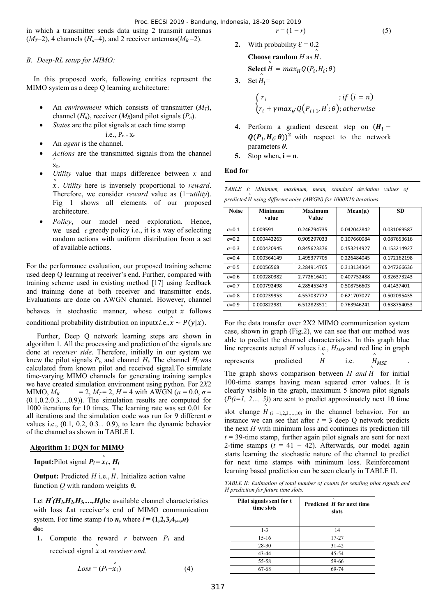in which a transmitter sends data using 2 transmit antennas  $(M_T=2)$ , 4 channels  $(H_n=4)$ , and 2 receiver antennas $(M_R=2)$ .

## *B. Deep-RL setup for MIMO:*

In this proposed work, following entities represent the MIMO system as a deep Q learning architecture:

- An *environment* which consists of transmitter (*MT*), channel  $(H_n)$ , receiver  $(M_R)$  and pilot signals  $(P_n)$ .
- *States* are the pilot signals at each time stamp
	- i.e.,  $P_n = x_n$
- An *agent* is the channel.
- *Actions* are the transmitted signals from the channel x n. ^
- *Utility* value that maps difference between *x* and ݔ ^ . *Utility* here is inversely proportional to *reward*. Therefore, we consider *reward* value as (1−*utility*). Fig 1 shows all elements of our proposed architecture.
- *Policy*, our model need exploration. Hence, we used  $\epsilon$  greedy policy i.e., it is a way of selecting random actions with uniform distribution from a set of available actions.

For the performance evaluation, our proposed training scheme used deep Q learning at receiver's end. Further, compared with training scheme used in existing method [17] using feedback and training done at both receiver and transmitter ends. Evaluations are done on AWGN channel. However, channel behaves in stochastic manner, whose output  $\hat{x}$  follows conditional probability distribution on inputx*i.e.*,  $\hat{x} \sim P(y|x)$ .

 Further, Deep Q network learning steps are shown in algorithm 1. All the processing and prediction of the signals are done at *receiver side*. Therefore, initially in our system we knew the pilot signals  $P_i$ , and channel  $H_i$ . The channel  $H_i$  was calculated from known pilot and received signal.To simulate time-varying MIMO channels for generating training samples we have created simulation environment using python. For 2*X*2 MIMO,  $M_R$  = 2,  $M_T = 2$ ,  $H = 4$  with AWGN ( $\mu = 0.0$ ,  $\sigma =$ (0*.*1*,*0*.*2*,*0.3…*,*0*.*9)). The simulation results are computed for 1000 iterations for 10 times. The learning rate was set 0.01 for all iterations and the simulation code was run for 9 different *σ* values i.e., (0*.*1*,* 0.2, 0.3*...* 0.9), to learn the dynamic behavior of the channel as shown in TABLE I.

## **Algorithm 1: DQN for MIMO**

**Input:**Pilot signal  $P_i = \hat{x}_i$ ,  $H_i$ 

**Output:** Predicted  $H$  i.e.,  $\hat{H}$ . Initialize action value function *Q* with random weights *θ***.** 

Let  $H'(H_1, H_2, H_3, \ldots, H_i)$  be available channel characteristics with loss *L*at receiver's end of MIMO communication system. For time stamp *i* to *n*, where  $i = (1, 2, 3, 4, \ldots, n)$ **do:** 

**1.** Compute the reward *r* between *Pi* and received signal  $\hat{x}$  at *receiver end*.

$$
Loss = (P_i - \hat{x}_i) \tag{4}
$$

$$
r = (1 - r)
$$
 (5)  
2. With probability  $\xi = 0.2$ 

- Choose random  $H$  as  $H$ . ^ **Select**  $H = max_H Q(P_i, H_i; \theta)$ ^
- 3. Set  $H_i =$

$$
\begin{cases} r_i &; if (i = n) \\ r_i + \gamma max_{H'} Q(P_{i+1}, H'; \theta); otherwise \end{cases}
$$

- **4.** Perform a gradient descent step on  $(H_i (Q(P_i, H_i; \theta))^2$  with respect to the network parameters *θ*.
- **5.** Stop when,  $i = n$ .

# **End for**

*TABLE I: Minimum, maximum, mean, standard deviation values of*  ܪ *predicted* ^ *using different noise (AWGN) for 1000X10 iterations.*

| <b>Noise</b>   | <b>Minimum</b> | Maximum     | $Mean(\mu)$ | SD          |
|----------------|----------------|-------------|-------------|-------------|
|                | value          | Value       |             |             |
| $\sigma = 0.1$ | 0.009591       | 0.246794735 | 0.042042842 | 0.031069587 |
| $\sigma$ =0.2  | 0.000442263    | 0.905297033 | 0.107660084 | 0.087653616 |
| $\sigma$ =0.3  | 0.000420945    | 0.845623376 | 0.153214927 | 0.153214927 |
| $\sigma$ =0.4  | 0.000364149    | 1.495377705 | 0.226484045 | 0.172162198 |
| $\sigma$ =0.5  | 0.00056568     | 2.284914765 | 0.313134364 | 0.247266636 |
| $\sigma$ =0.6  | 0.000280382    | 2.772616411 | 0.407752488 | 0.326373243 |
| $\sigma$ =0.7  | 0.000792498    | 4.285453473 | 0.508756603 | 0.41437401  |
| $\sigma$ =0.8  | 0.000239953    | 4.557037772 | 0.621707027 | 0.502095435 |
| $\sigma = 0.9$ | 0.000822981    | 6.512823511 | 0.763946241 | 0.638754053 |

For the data transfer over 2X2 MIMO communication system case, shown in graph (Fig.2), we can see that our method was able to predict the channel characteristics. In this graph blue line represents actual *H* values i.e., *H<sub>MSE</sub>* and red line in graph

 $represents$  predicted  $H$ ^ i.e.  $\int_{\Lambda} A_{MSE}$  .

The graph shows comparison between  $H$  and  $H$  for initial 100-time stamps having mean squared error values. It is clearly visible in the graph, maximum 5 known pilot signals (*P(i=1, 2…, 5)*) are sent to predict approximately next 10 time ^

slot change  $H_{(i=1,2,3,...,10)}$  in the channel behavior. For an instance we can see that after  $t = 3$  deep Q network predicts the next *H* with minimum loss and continues its prediction till  $t = 39$ -time stamp, further again pilot signals are sent for next 2-time stamps  $(t = 41 - 42)$ . Afterwards, our model again starts learning the stochastic nature of the channel to predict for next time stamps with minimum loss. Reinforcement learning based prediction can be seen clearly in TABLE II.

*TABLE II: Estimation of total number of counts for sending pilot signals and H prediction for future time slots.* 

| Pilot signals sent for t<br>time slots | $\wedge$<br>Predicted H for next time<br>slots |
|----------------------------------------|------------------------------------------------|
| $1 - 3$                                | 14                                             |
| $15-16$                                | 17-27                                          |
| 28-30                                  | $31 - 42$                                      |
| 43-44                                  | 45-54                                          |
| 55-58                                  | 59-66                                          |
| 67-68                                  | 69-74                                          |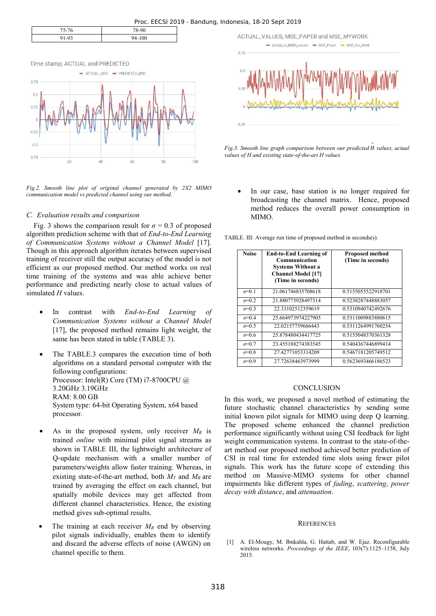| $75 - 77$    | 78-90  |
|--------------|--------|
| $-9^{\circ}$ | 94-100 |



*Fig.2. Smooth line plot of original channel generated by 2X2 MIMO communication model vs predicted channel using our method.* 

#### *C. Evaluation results and comparison*

Fig. 3 shows the comparison result for  $\sigma = 0.3$  of proposed algorithm prediction scheme with that of *End-to-End Learning of Communication Systems without a Channel Model* [17]. Though in this approach algorithm iterates between supervised training of receiver still the output accuracy of the model is not efficient as our proposed method. Our method works on real time training of the systems and was able achieve better performance and predicting nearly close to actual values of simulated *H* values.

- In contrast with *End-to-End Learning of Communication Systems without a Channel Model* [17], the proposed method remains light weight, the same has been stated in table (TABLE 3).
- The TABLE.3 compares the execution time of both algorithms on a standard personal computer with the following configurations: Processor: Intel(R) Core (TM) i7-8700CPU @ 3.20GHz 3.19GHz RAM: 8.00 GB System type: 64-bit Operating System, x64 based processor.
- As in the proposed system, only receiver  $M_R$  is trained *online* with minimal pilot signal streams as shown in TABLE III, the lightweight architecture of Q-update mechanism with a smaller number of parameters/weights allow faster training. Whereas, in existing state-of-the-art method, both  $M_T$  and  $M_R$  are trained by averaging the effect on each channel, but spatially mobile devices may get affected from different channel characteristics. Hence, the existing method gives sub-optimal results.
- The training at each receiver  $M_R$  end by observing pilot signals individually, enables them to identify and discard the adverse effects of noise (AWGN) on channel specific to them.



Fig.3. Smooth line graph comparison between our predicted  $\hat{H}$  values, actual *values of H and existing state-of-the-art H values.* 

In our case, base station is no longer required for broadcasting the channel matrix. Hence, proposed method reduces the overall power consumption in MIMO.

TABLE. III: Average run time of proposed method in seconds(s).

| <b>Noise</b>   | <b>End-to-End Learning of</b><br>Communication<br><b>Systems Without a</b><br><b>Channel Model [17]</b><br>(Time in seconds) | <b>Proposed method</b><br>(Time in seconds) |
|----------------|------------------------------------------------------------------------------------------------------------------------------|---------------------------------------------|
| $\sigma = 0.1$ | 21.061746835708618                                                                                                           | 0.5155055522918701                          |
| $\sigma = 0.2$ | 21.880775928497314                                                                                                           | 0.5238287448883057                          |
| $\sigma$ =0.3  | 22.33102512359619                                                                                                            | 0.5310940742492676                          |
| $\sigma = 0.4$ | 25.664973974227905                                                                                                           | 0.5311009883880615                          |
| $\sigma = 0.5$ | 22.02157759666443                                                                                                            | 0.5311264991760254                          |
| $\sigma = 0.6$ | 25 878480434417725                                                                                                           | 0.5155048370361328                          |
| $\sigma = 0.7$ | 23 455188274383545                                                                                                           | 0.5404367446899414                          |
| $\sigma = 0.8$ | 27.42771053314209                                                                                                            | 0.5467181205749512                          |
| $\sigma=0.9$   | 27.72638463973999                                                                                                            | 0.5623693466186523                          |

#### **CONCLUSION**

In this work, we proposed a novel method of estimating the future stochastic channel characteristics by sending some initial known pilot signals for MIMO using deep Q learning. The proposed scheme enhanced the channel prediction performance significantly without using CSI feedback for light weight communication systems. In contrast to the state-of-theart method our proposed method achieved better prediction of CSI in real time for extended time slots using fewer pilot signals. This work has the future scope of extending this method on Massive-MIMO systems for other channel impairments like different types of *fading*, *scattering*, *power decay with distance*, and *attenuation*.

#### **REFERENCES**

[1] A. El-Mougy, M. Ibnkahla, G. Hattab, and W. Ejaz. Reconfigurable wireless networks. *Proceedings of the IEEE*, 103(7):1125–1158, July 2015.